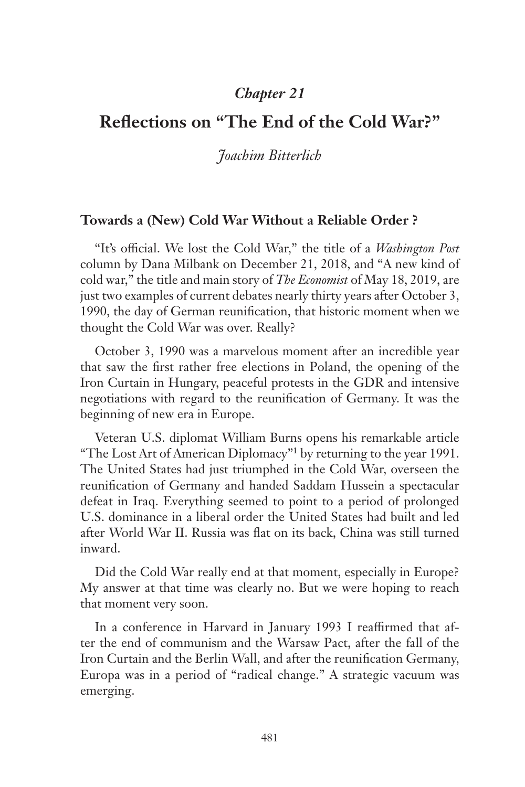## *Chapter 21*

# **Reflections on "The End of the Cold War?"**

## *Joachim Bitterlich*

### **Towards a (New) Cold War Without a Reliable Order ?**

"It's official. We lost the Cold War," the title of a *Washington Post* column by Dana Milbank on December 21, 2018, and "A new kind of cold war," the title and main story of *The Economist* of May 18, 2019, are just two examples of current debates nearly thirty years after October 3, 1990, the day of German reunification, that historic moment when we thought the Cold War was over. Really?

October 3, 1990 was a marvelous moment after an incredible year that saw the first rather free elections in Poland, the opening of the Iron Curtain in Hungary, peaceful protests in the GDR and intensive negotiations with regard to the reunification of Germany. It was the beginning of new era in Europe.

Veteran U.S. diplomat William Burns opens his remarkable article "The Lost Art of American Diplomacy"1 by returning to the year 1991. The United States had just triumphed in the Cold War, overseen the reunification of Germany and handed Saddam Hussein a spectacular defeat in Iraq. Everything seemed to point to a period of prolonged U.S. dominance in a liberal order the United States had built and led after World War II. Russia was flat on its back, China was still turned inward.

Did the Cold War really end at that moment, especially in Europe? My answer at that time was clearly no. But we were hoping to reach that moment very soon.

In a conference in Harvard in January 1993 I reaffirmed that after the end of communism and the Warsaw Pact, after the fall of the Iron Curtain and the Berlin Wall, and after the reunification Germany, Europa was in a period of "radical change." A strategic vacuum was emerging.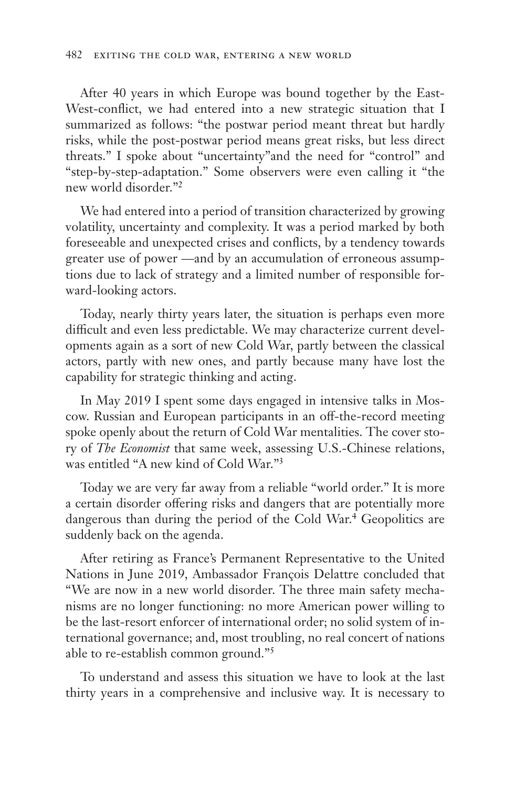After 40 years in which Europe was bound together by the East-West-conflict, we had entered into a new strategic situation that I summarized as follows: "the postwar period meant threat but hardly risks, while the post-postwar period means great risks, but less direct threats." I spoke about "uncertainty"and the need for "control" and "step-by-step-adaptation." Some observers were even calling it "the new world disorder."2

We had entered into a period of transition characterized by growing volatility, uncertainty and complexity. It was a period marked by both foreseeable and unexpected crises and conflicts, by a tendency towards greater use of power —and by an accumulation of erroneous assumptions due to lack of strategy and a limited number of responsible forward-looking actors.

Today, nearly thirty years later, the situation is perhaps even more difficult and even less predictable. We may characterize current developments again as a sort of new Cold War, partly between the classical actors, partly with new ones, and partly because many have lost the capability for strategic thinking and acting.

In May 2019 I spent some days engaged in intensive talks in Moscow. Russian and European participants in an off-the-record meeting spoke openly about the return of Cold War mentalities. The cover story of *The Economist* that same week, assessing U.S.-Chinese relations, was entitled "A new kind of Cold War."3

Today we are very far away from a reliable "world order." It is more a certain disorder offering risks and dangers that are potentially more dangerous than during the period of the Cold War.<sup>4</sup> Geopolitics are suddenly back on the agenda.

After retiring as France's Permanent Representative to the United Nations in June 2019, Ambassador François Delattre concluded that "We are now in a new world disorder. The three main safety mechanisms are no longer functioning: no more American power willing to be the last-resort enforcer of international order; no solid system of international governance; and, most troubling, no real concert of nations able to re-establish common ground."5

To understand and assess this situation we have to look at the last thirty years in a comprehensive and inclusive way. It is necessary to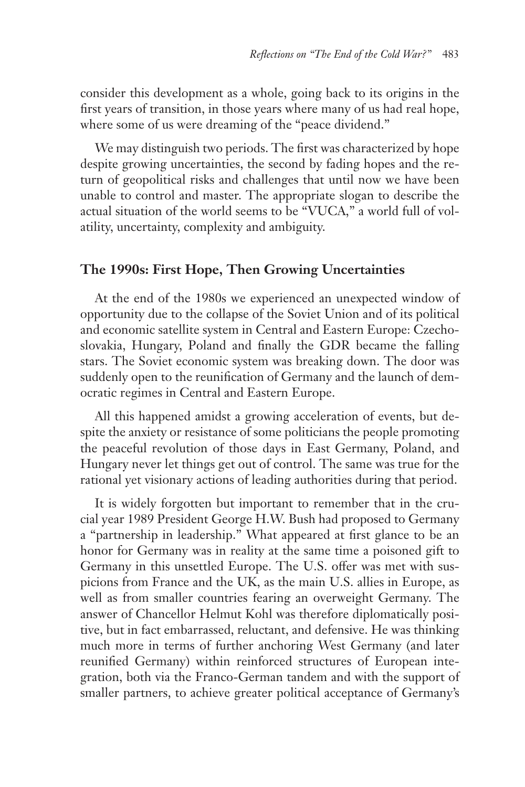consider this development as a whole, going back to its origins in the first years of transition, in those years where many of us had real hope, where some of us were dreaming of the "peace dividend."

We may distinguish two periods. The first was characterized by hope despite growing uncertainties, the second by fading hopes and the return of geopolitical risks and challenges that until now we have been unable to control and master. The appropriate slogan to describe the actual situation of the world seems to be "VUCA," a world full of volatility, uncertainty, complexity and ambiguity.

## **The 1990s: First Hope, Then Growing Uncertainties**

At the end of the 1980s we experienced an unexpected window of opportunity due to the collapse of the Soviet Union and of its political and economic satellite system in Central and Eastern Europe: Czechoslovakia, Hungary, Poland and finally the GDR became the falling stars. The Soviet economic system was breaking down. The door was suddenly open to the reunification of Germany and the launch of democratic regimes in Central and Eastern Europe.

All this happened amidst a growing acceleration of events, but despite the anxiety or resistance of some politicians the people promoting the peaceful revolution of those days in East Germany, Poland, and Hungary never let things get out of control. The same was true for the rational yet visionary actions of leading authorities during that period.

It is widely forgotten but important to remember that in the crucial year 1989 President George H.W. Bush had proposed to Germany a "partnership in leadership." What appeared at first glance to be an honor for Germany was in reality at the same time a poisoned gift to Germany in this unsettled Europe. The U.S. offer was met with suspicions from France and the UK, as the main U.S. allies in Europe, as well as from smaller countries fearing an overweight Germany. The answer of Chancellor Helmut Kohl was therefore diplomatically positive, but in fact embarrassed, reluctant, and defensive. He was thinking much more in terms of further anchoring West Germany (and later reunified Germany) within reinforced structures of European integration, both via the Franco-German tandem and with the support of smaller partners, to achieve greater political acceptance of Germany's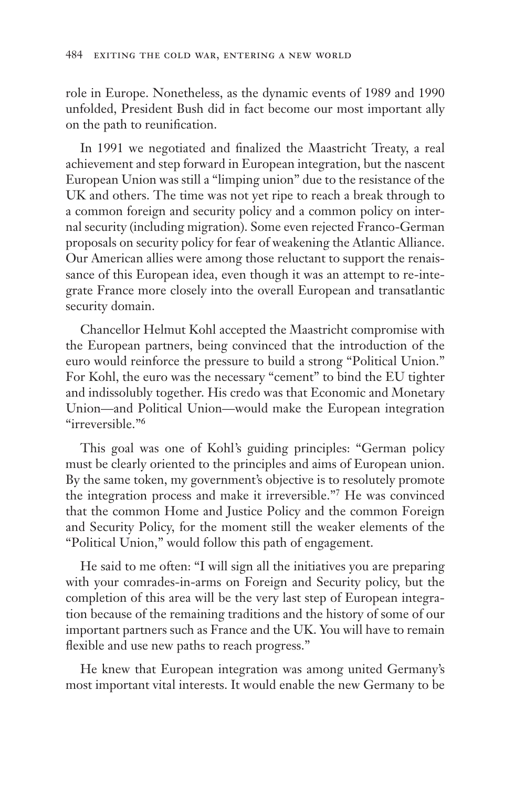role in Europe. Nonetheless, as the dynamic events of 1989 and 1990 unfolded, President Bush did in fact become our most important ally on the path to reunification.

In 1991 we negotiated and finalized the Maastricht Treaty, a real achievement and step forward in European integration, but the nascent European Union was still a "limping union" due to the resistance of the UK and others. The time was not yet ripe to reach a break through to a common foreign and security policy and a common policy on internal security (including migration). Some even rejected Franco-German proposals on security policy for fear of weakening the Atlantic Alliance. Our American allies were among those reluctant to support the renaissance of this European idea, even though it was an attempt to re-integrate France more closely into the overall European and transatlantic security domain.

Chancellor Helmut Kohl accepted the Maastricht compromise with the European partners, being convinced that the introduction of the euro would reinforce the pressure to build a strong "Political Union." For Kohl, the euro was the necessary "cement" to bind the EU tighter and indissolubly together. His credo was that Economic and Monetary Union—and Political Union—would make the European integration "irreversible."6

This goal was one of Kohl's guiding principles: "German policy must be clearly oriented to the principles and aims of European union. By the same token, my government's objective is to resolutely promote the integration process and make it irreversible."7 He was convinced that the common Home and Justice Policy and the common Foreign and Security Policy, for the moment still the weaker elements of the "Political Union," would follow this path of engagement.

He said to me often: "I will sign all the initiatives you are preparing with your comrades-in-arms on Foreign and Security policy, but the completion of this area will be the very last step of European integration because of the remaining traditions and the history of some of our important partners such as France and the UK. You will have to remain flexible and use new paths to reach progress."

He knew that European integration was among united Germany's most important vital interests. It would enable the new Germany to be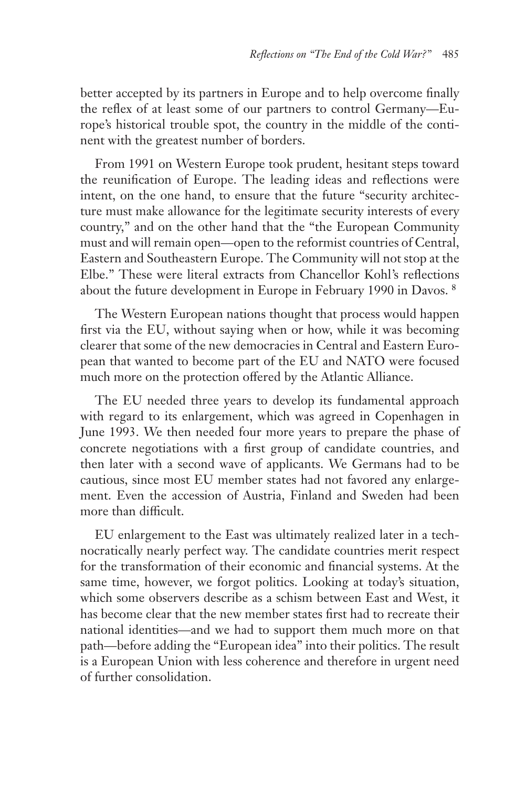better accepted by its partners in Europe and to help overcome finally the reflex of at least some of our partners to control Germany—Europe's historical trouble spot, the country in the middle of the continent with the greatest number of borders.

From 1991 on Western Europe took prudent, hesitant steps toward the reunification of Europe. The leading ideas and reflections were intent, on the one hand, to ensure that the future "security architecture must make allowance for the legitimate security interests of every country," and on the other hand that the "the European Community must and will remain open—open to the reformist countries of Central, Eastern and Southeastern Europe. The Community will not stop at the Elbe." These were literal extracts from Chancellor Kohl's reflections about the future development in Europe in February 1990 in Davos. 8

The Western European nations thought that process would happen first via the EU, without saying when or how, while it was becoming clearer that some of the new democracies in Central and Eastern European that wanted to become part of the EU and NATO were focused much more on the protection offered by the Atlantic Alliance.

The EU needed three years to develop its fundamental approach with regard to its enlargement, which was agreed in Copenhagen in June 1993. We then needed four more years to prepare the phase of concrete negotiations with a first group of candidate countries, and then later with a second wave of applicants. We Germans had to be cautious, since most EU member states had not favored any enlargement. Even the accession of Austria, Finland and Sweden had been more than difficult.

EU enlargement to the East was ultimately realized later in a technocratically nearly perfect way. The candidate countries merit respect for the transformation of their economic and financial systems. At the same time, however, we forgot politics. Looking at today's situation, which some observers describe as a schism between East and West, it has become clear that the new member states first had to recreate their national identities—and we had to support them much more on that path—before adding the "European idea" into their politics. The result is a European Union with less coherence and therefore in urgent need of further consolidation.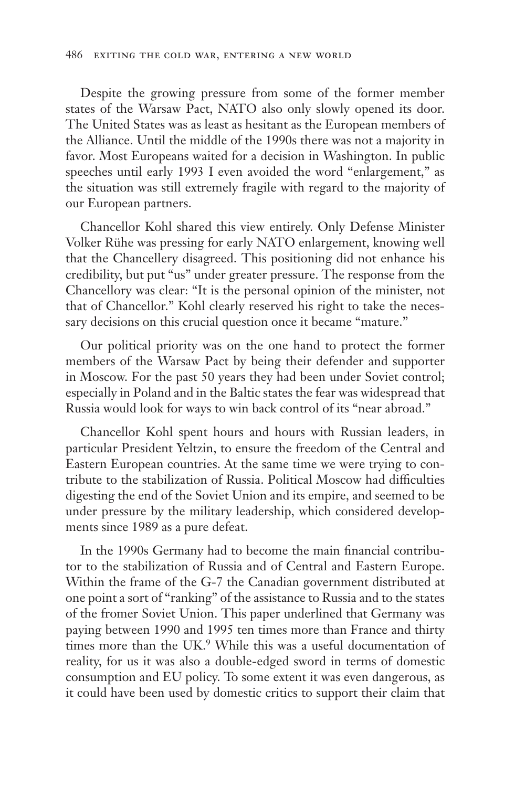Despite the growing pressure from some of the former member states of the Warsaw Pact, NATO also only slowly opened its door. The United States was as least as hesitant as the European members of the Alliance. Until the middle of the 1990s there was not a majority in favor. Most Europeans waited for a decision in Washington. In public speeches until early 1993 I even avoided the word "enlargement," as the situation was still extremely fragile with regard to the majority of our European partners.

Chancellor Kohl shared this view entirely. Only Defense Minister Volker Rühe was pressing for early NATO enlargement, knowing well that the Chancellery disagreed. This positioning did not enhance his credibility, but put "us" under greater pressure. The response from the Chancellory was clear: "It is the personal opinion of the minister, not that of Chancellor." Kohl clearly reserved his right to take the necessary decisions on this crucial question once it became "mature."

Our political priority was on the one hand to protect the former members of the Warsaw Pact by being their defender and supporter in Moscow. For the past 50 years they had been under Soviet control; especially in Poland and in the Baltic states the fear was widespread that Russia would look for ways to win back control of its "near abroad."

Chancellor Kohl spent hours and hours with Russian leaders, in particular President Yeltzin, to ensure the freedom of the Central and Eastern European countries. At the same time we were trying to contribute to the stabilization of Russia. Political Moscow had difficulties digesting the end of the Soviet Union and its empire, and seemed to be under pressure by the military leadership, which considered developments since 1989 as a pure defeat.

In the 1990s Germany had to become the main financial contributor to the stabilization of Russia and of Central and Eastern Europe. Within the frame of the G-7 the Canadian government distributed at one point a sort of "ranking" of the assistance to Russia and to the states of the fromer Soviet Union. This paper underlined that Germany was paying between 1990 and 1995 ten times more than France and thirty times more than the UK.<sup>9</sup> While this was a useful documentation of reality, for us it was also a double-edged sword in terms of domestic consumption and EU policy. To some extent it was even dangerous, as it could have been used by domestic critics to support their claim that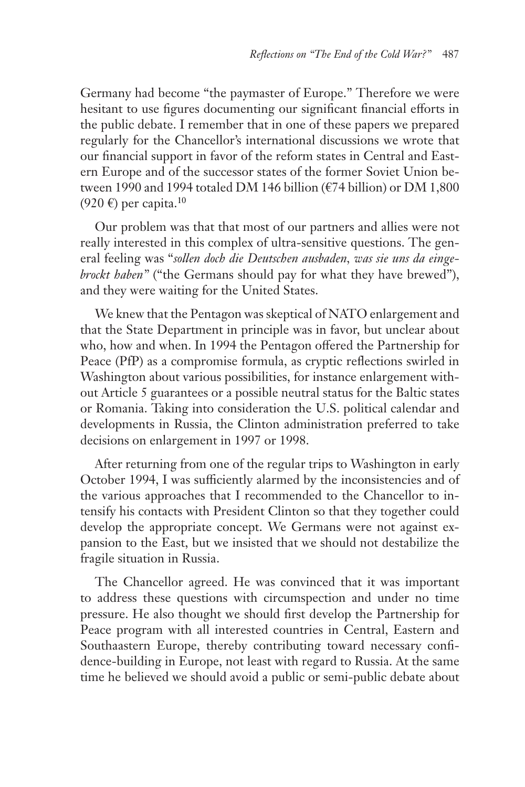Germany had become "the paymaster of Europe." Therefore we were hesitant to use figures documenting our significant financial efforts in the public debate. I remember that in one of these papers we prepared regularly for the Chancellor's international discussions we wrote that our financial support in favor of the reform states in Central and Eastern Europe and of the successor states of the former Soviet Union between 1990 and 1994 totaled DM 146 billion (€74 billion) or DM 1,800  $(920 \text{ } \infty)$  per capita.<sup>10</sup>

Our problem was that that most of our partners and allies were not really interested in this complex of ultra-sensitive questions. The general feeling was "*sollen doch die Deutschen ausbaden, was sie uns da eingebrockt haben"* ("the Germans should pay for what they have brewed"), and they were waiting for the United States.

We knew that the Pentagon was skeptical of NATO enlargement and that the State Department in principle was in favor, but unclear about who, how and when. In 1994 the Pentagon offered the Partnership for Peace (PfP) as a compromise formula, as cryptic reflections swirled in Washington about various possibilities, for instance enlargement without Article 5 guarantees or a possible neutral status for the Baltic states or Romania. Taking into consideration the U.S. political calendar and developments in Russia, the Clinton administration preferred to take decisions on enlargement in 1997 or 1998.

After returning from one of the regular trips to Washington in early October 1994, I was sufficiently alarmed by the inconsistencies and of the various approaches that I recommended to the Chancellor to intensify his contacts with President Clinton so that they together could develop the appropriate concept. We Germans were not against expansion to the East, but we insisted that we should not destabilize the fragile situation in Russia.

The Chancellor agreed. He was convinced that it was important to address these questions with circumspection and under no time pressure. He also thought we should first develop the Partnership for Peace program with all interested countries in Central, Eastern and Southaastern Europe, thereby contributing toward necessary confidence-building in Europe, not least with regard to Russia. At the same time he believed we should avoid a public or semi-public debate about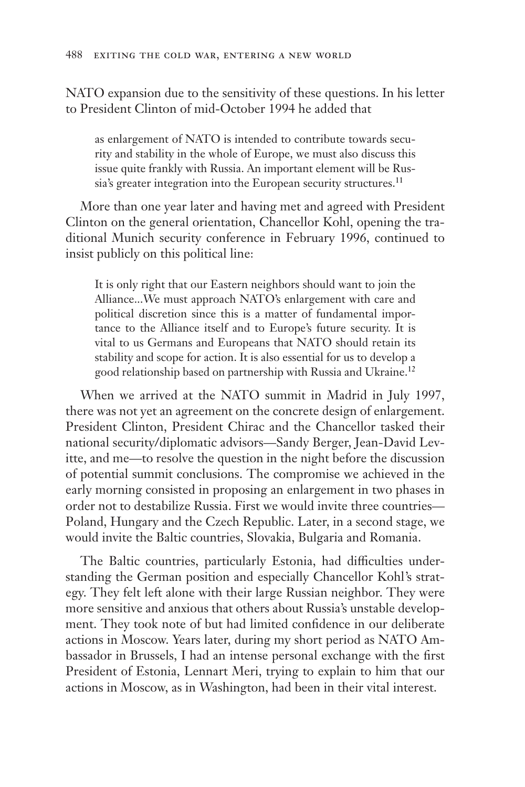NATO expansion due to the sensitivity of these questions. In his letter to President Clinton of mid-October 1994 he added that

as enlargement of NATO is intended to contribute towards security and stability in the whole of Europe, we must also discuss this issue quite frankly with Russia. An important element will be Russia's greater integration into the European security structures.<sup>11</sup>

More than one year later and having met and agreed with President Clinton on the general orientation, Chancellor Kohl, opening the traditional Munich security conference in February 1996, continued to insist publicly on this political line:

It is only right that our Eastern neighbors should want to join the Alliance...We must approach NATO's enlargement with care and political discretion since this is a matter of fundamental importance to the Alliance itself and to Europe's future security. It is vital to us Germans and Europeans that NATO should retain its stability and scope for action. It is also essential for us to develop a good relationship based on partnership with Russia and Ukraine.12

When we arrived at the NATO summit in Madrid in July 1997, there was not yet an agreement on the concrete design of enlargement. President Clinton, President Chirac and the Chancellor tasked their national security/diplomatic advisors—Sandy Berger, Jean-David Levitte, and me—to resolve the question in the night before the discussion of potential summit conclusions. The compromise we achieved in the early morning consisted in proposing an enlargement in two phases in order not to destabilize Russia. First we would invite three countries— Poland, Hungary and the Czech Republic. Later, in a second stage, we would invite the Baltic countries, Slovakia, Bulgaria and Romania.

The Baltic countries, particularly Estonia, had difficulties understanding the German position and especially Chancellor Kohl's strategy. They felt left alone with their large Russian neighbor. They were more sensitive and anxious that others about Russia's unstable development. They took note of but had limited confidence in our deliberate actions in Moscow. Years later, during my short period as NATO Ambassador in Brussels, I had an intense personal exchange with the first President of Estonia, Lennart Meri, trying to explain to him that our actions in Moscow, as in Washington, had been in their vital interest.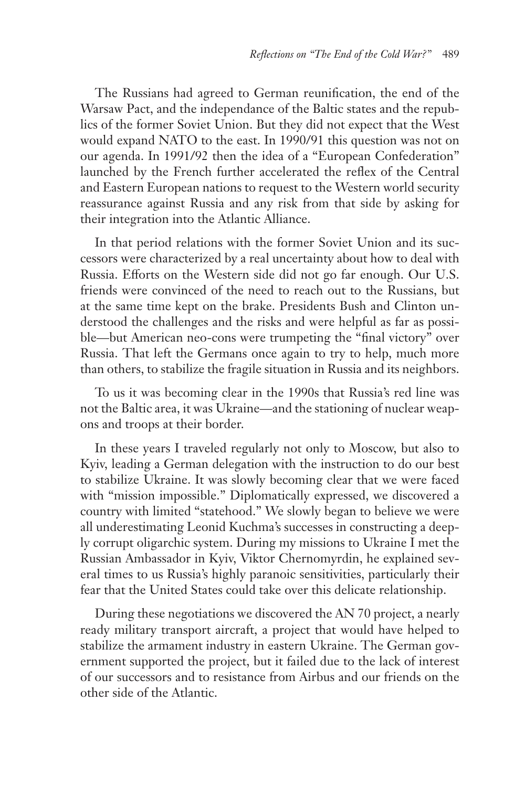The Russians had agreed to German reunification, the end of the Warsaw Pact, and the independance of the Baltic states and the republics of the former Soviet Union. But they did not expect that the West would expand NATO to the east. In 1990/91 this question was not on our agenda. In 1991/92 then the idea of a "European Confederation" launched by the French further accelerated the reflex of the Central and Eastern European nations to request to the Western world security reassurance against Russia and any risk from that side by asking for their integration into the Atlantic Alliance.

In that period relations with the former Soviet Union and its successors were characterized by a real uncertainty about how to deal with Russia. Efforts on the Western side did not go far enough. Our U.S. friends were convinced of the need to reach out to the Russians, but at the same time kept on the brake. Presidents Bush and Clinton understood the challenges and the risks and were helpful as far as possible—but American neo-cons were trumpeting the "final victory" over Russia. That left the Germans once again to try to help, much more than others, to stabilize the fragile situation in Russia and its neighbors.

To us it was becoming clear in the 1990s that Russia's red line was not the Baltic area, it was Ukraine—and the stationing of nuclear weapons and troops at their border.

In these years I traveled regularly not only to Moscow, but also to Kyiv, leading a German delegation with the instruction to do our best to stabilize Ukraine. It was slowly becoming clear that we were faced with "mission impossible." Diplomatically expressed, we discovered a country with limited "statehood." We slowly began to believe we were all underestimating Leonid Kuchma's successes in constructing a deeply corrupt oligarchic system. During my missions to Ukraine I met the Russian Ambassador in Kyiv, Viktor Chernomyrdin, he explained several times to us Russia's highly paranoic sensitivities, particularly their fear that the United States could take over this delicate relationship.

During these negotiations we discovered the AN 70 project, a nearly ready military transport aircraft, a project that would have helped to stabilize the armament industry in eastern Ukraine. The German government supported the project, but it failed due to the lack of interest of our successors and to resistance from Airbus and our friends on the other side of the Atlantic.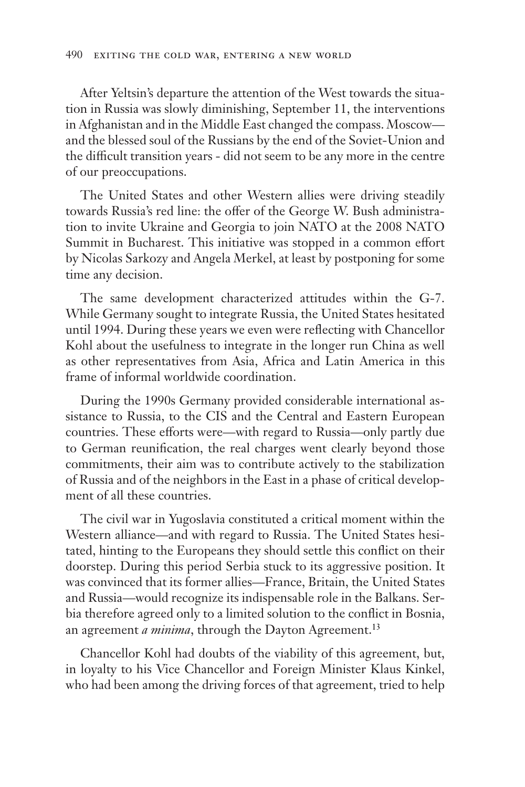After Yeltsin's departure the attention of the West towards the situation in Russia was slowly diminishing, September 11, the interventions in Afghanistan and in the Middle East changed the compass. Moscow and the blessed soul of the Russians by the end of the Soviet-Union and the difficult transition years - did not seem to be any more in the centre of our preoccupations.

The United States and other Western allies were driving steadily towards Russia's red line: the offer of the George W. Bush administration to invite Ukraine and Georgia to join NATO at the 2008 NATO Summit in Bucharest. This initiative was stopped in a common effort by Nicolas Sarkozy and Angela Merkel, at least by postponing for some time any decision.

The same development characterized attitudes within the G-7. While Germany sought to integrate Russia, the United States hesitated until 1994. During these years we even were reflecting with Chancellor Kohl about the usefulness to integrate in the longer run China as well as other representatives from Asia, Africa and Latin America in this frame of informal worldwide coordination.

During the 1990s Germany provided considerable international assistance to Russia, to the CIS and the Central and Eastern European countries. These efforts were—with regard to Russia—only partly due to German reunification, the real charges went clearly beyond those commitments, their aim was to contribute actively to the stabilization of Russia and of the neighbors in the East in a phase of critical development of all these countries.

The civil war in Yugoslavia constituted a critical moment within the Western alliance—and with regard to Russia. The United States hesitated, hinting to the Europeans they should settle this conflict on their doorstep. During this period Serbia stuck to its aggressive position. It was convinced that its former allies—France, Britain, the United States and Russia—would recognize its indispensable role in the Balkans. Serbia therefore agreed only to a limited solution to the conflict in Bosnia, an agreement *a minima*, through the Dayton Agreement.<sup>13</sup>

Chancellor Kohl had doubts of the viability of this agreement, but, in loyalty to his Vice Chancellor and Foreign Minister Klaus Kinkel, who had been among the driving forces of that agreement, tried to help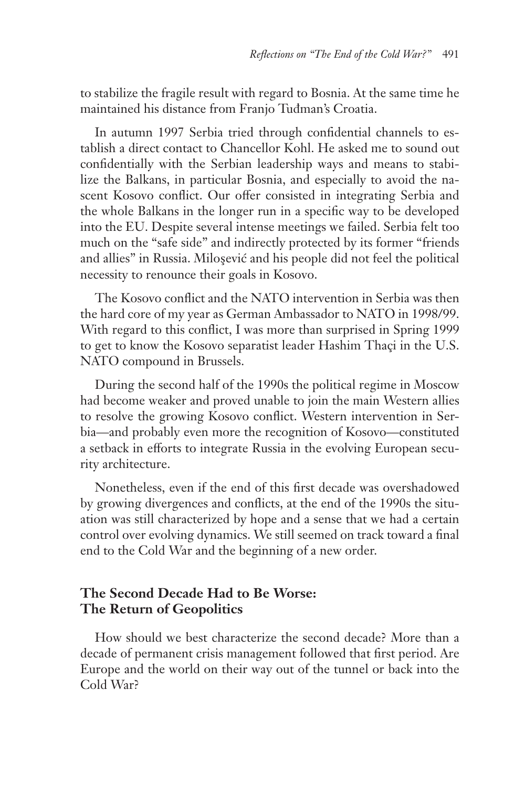to stabilize the fragile result with regard to Bosnia. At the same time he maintained his distance from Franjo Tuđman's Croatia.

In autumn 1997 Serbia tried through confidential channels to establish a direct contact to Chancellor Kohl. He asked me to sound out confidentially with the Serbian leadership ways and means to stabilize the Balkans, in particular Bosnia, and especially to avoid the nascent Kosovo conflict. Our offer consisted in integrating Serbia and the whole Balkans in the longer run in a specific way to be developed into the EU. Despite several intense meetings we failed. Serbia felt too much on the "safe side" and indirectly protected by its former "friends and allies" in Russia. Miloşević and his people did not feel the political necessity to renounce their goals in Kosovo.

The Kosovo conflict and the NATO intervention in Serbia was then the hard core of my year as German Ambassador to NATO in 1998/99. With regard to this conflict, I was more than surprised in Spring 1999 to get to know the Kosovo separatist leader Hashim Thaçi in the U.S. NATO compound in Brussels.

During the second half of the 1990s the political regime in Moscow had become weaker and proved unable to join the main Western allies to resolve the growing Kosovo conflict. Western intervention in Serbia—and probably even more the recognition of Kosovo—constituted a setback in efforts to integrate Russia in the evolving European security architecture.

Nonetheless, even if the end of this first decade was overshadowed by growing divergences and conflicts, at the end of the 1990s the situation was still characterized by hope and a sense that we had a certain control over evolving dynamics. We still seemed on track toward a final end to the Cold War and the beginning of a new order.

## **The Second Decade Had to Be Worse: The Return of Geopolitics**

How should we best characterize the second decade? More than a decade of permanent crisis management followed that first period. Are Europe and the world on their way out of the tunnel or back into the Cold War?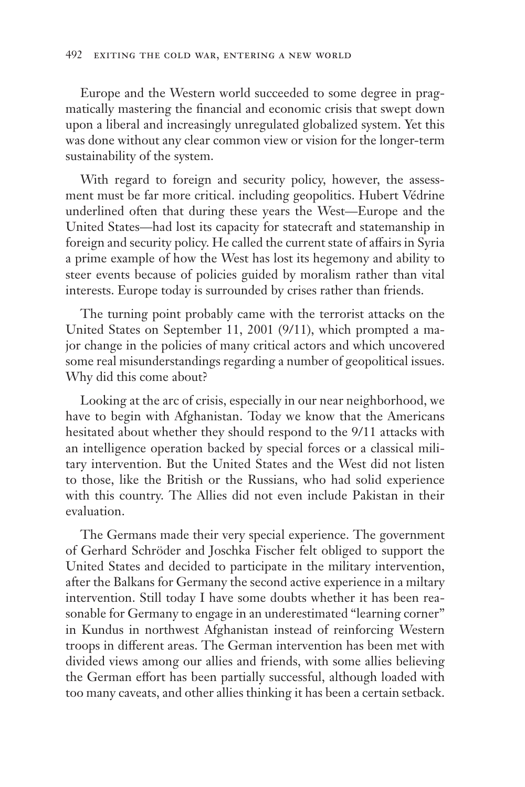Europe and the Western world succeeded to some degree in pragmatically mastering the financial and economic crisis that swept down upon a liberal and increasingly unregulated globalized system. Yet this was done without any clear common view or vision for the longer-term sustainability of the system.

With regard to foreign and security policy, however, the assessment must be far more critical. including geopolitics. Hubert Védrine underlined often that during these years the West—Europe and the United States—had lost its capacity for statecraft and statemanship in foreign and security policy. He called the current state of affairs in Syria a prime example of how the West has lost its hegemony and ability to steer events because of policies guided by moralism rather than vital interests. Europe today is surrounded by crises rather than friends.

The turning point probably came with the terrorist attacks on the United States on September 11, 2001 (9/11), which prompted a major change in the policies of many critical actors and which uncovered some real misunderstandings regarding a number of geopolitical issues. Why did this come about?

Looking at the arc of crisis, especially in our near neighborhood, we have to begin with Afghanistan. Today we know that the Americans hesitated about whether they should respond to the 9/11 attacks with an intelligence operation backed by special forces or a classical military intervention. But the United States and the West did not listen to those, like the British or the Russians, who had solid experience with this country. The Allies did not even include Pakistan in their evaluation.

The Germans made their very special experience. The government of Gerhard Schröder and Joschka Fischer felt obliged to support the United States and decided to participate in the military intervention, after the Balkans for Germany the second active experience in a miltary intervention. Still today I have some doubts whether it has been reasonable for Germany to engage in an underestimated "learning corner" in Kundus in northwest Afghanistan instead of reinforcing Western troops in different areas. The German intervention has been met with divided views among our allies and friends, with some allies believing the German effort has been partially successful, although loaded with too many caveats, and other allies thinking it has been a certain setback.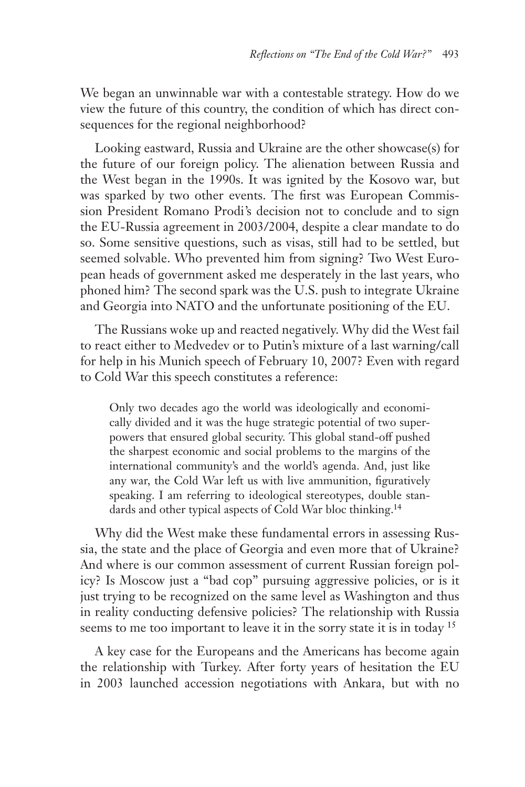We began an unwinnable war with a contestable strategy. How do we view the future of this country, the condition of which has direct consequences for the regional neighborhood?

Looking eastward, Russia and Ukraine are the other showcase(s) for the future of our foreign policy. The alienation between Russia and the West began in the 1990s. It was ignited by the Kosovo war, but was sparked by two other events. The first was European Commission President Romano Prodi's decision not to conclude and to sign the EU-Russia agreement in 2003/2004, despite a clear mandate to do so. Some sensitive questions, such as visas, still had to be settled, but seemed solvable. Who prevented him from signing? Two West European heads of government asked me desperately in the last years, who phoned him? The second spark was the U.S. push to integrate Ukraine and Georgia into NATO and the unfortunate positioning of the EU.

The Russians woke up and reacted negatively. Why did the West fail to react either to Medvedev or to Putin's mixture of a last warning/call for help in his Munich speech of February 10, 2007? Even with regard to Cold War this speech constitutes a reference:

Only two decades ago the world was ideologically and economically divided and it was the huge strategic potential of two superpowers that ensured global security. This global stand-off pushed the sharpest economic and social problems to the margins of the international community's and the world's agenda. And, just like any war, the Cold War left us with live ammunition, figuratively speaking. I am referring to ideological stereotypes, double standards and other typical aspects of Cold War bloc thinking.<sup>14</sup>

Why did the West make these fundamental errors in assessing Russia, the state and the place of Georgia and even more that of Ukraine? And where is our common assessment of current Russian foreign policy? Is Moscow just a "bad cop" pursuing aggressive policies, or is it just trying to be recognized on the same level as Washington and thus in reality conducting defensive policies? The relationship with Russia seems to me too important to leave it in the sorry state it is in today <sup>15</sup>

A key case for the Europeans and the Americans has become again the relationship with Turkey. After forty years of hesitation the EU in 2003 launched accession negotiations with Ankara, but with no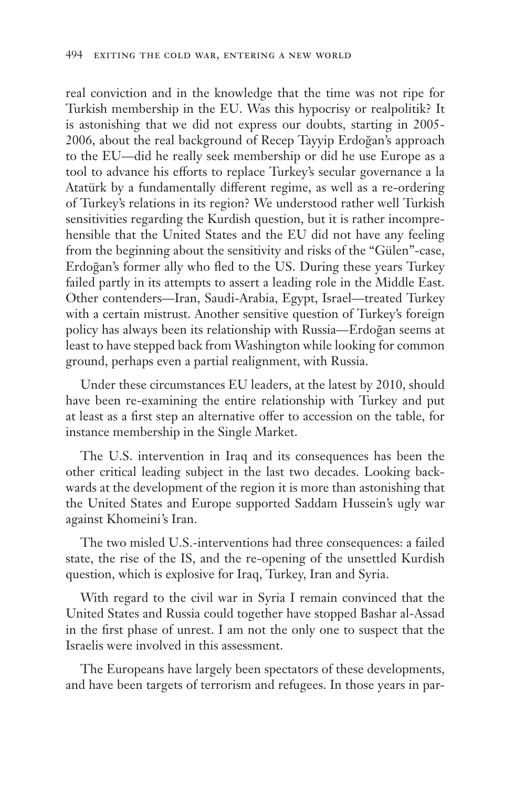real conviction and in the knowledge that the time was not ripe for Turkish membership in the EU. Was this hypocrisy or realpolitik? It is astonishing that we did not express our doubts, starting in 2005- 2006, about the real background of Recep Tayyip Erdoğan's approach to the EU—did he really seek membership or did he use Europe as a tool to advance his efforts to replace Turkey's secular governance a la Atatürk by a fundamentally different regime, as well as a re-ordering of Turkey's relations in its region? We understood rather well Turkish sensitivities regarding the Kurdish question, but it is rather incomprehensible that the United States and the EU did not have any feeling from the beginning about the sensitivity and risks of the "Gülen"-case, Erdoğan's former ally who fled to the US. During these years Turkey failed partly in its attempts to assert a leading role in the Middle East. Other contenders—Iran, Saudi-Arabia, Egypt, Israel—treated Turkey with a certain mistrust. Another sensitive question of Turkey's foreign policy has always been its relationship with Russia—Erdoğan seems at least to have stepped back from Washington while looking for common ground, perhaps even a partial realignment, with Russia.

Under these circumstances EU leaders, at the latest by 2010, should have been re-examining the entire relationship with Turkey and put at least as a first step an alternative offer to accession on the table, for instance membership in the Single Market.

The U.S. intervention in Iraq and its consequences has been the other critical leading subject in the last two decades. Looking backwards at the development of the region it is more than astonishing that the United States and Europe supported Saddam Hussein's ugly war against Khomeini's Iran.

The two misled U.S.-interventions had three consequences: a failed state, the rise of the IS, and the re-opening of the unsettled Kurdish question, which is explosive for Iraq, Turkey, Iran and Syria.

With regard to the civil war in Syria I remain convinced that the United States and Russia could together have stopped Bashar al-Assad in the first phase of unrest. I am not the only one to suspect that the Israelis were involved in this assessment.

The Europeans have largely been spectators of these developments, and have been targets of terrorism and refugees. In those years in par-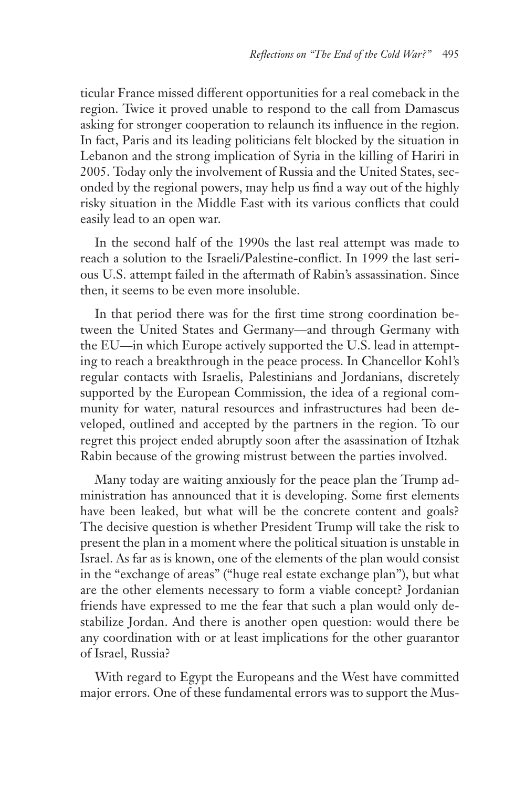ticular France missed different opportunities for a real comeback in the region. Twice it proved unable to respond to the call from Damascus asking for stronger cooperation to relaunch its influence in the region. In fact, Paris and its leading politicians felt blocked by the situation in Lebanon and the strong implication of Syria in the killing of Hariri in 2005. Today only the involvement of Russia and the United States, seconded by the regional powers, may help us find a way out of the highly risky situation in the Middle East with its various conflicts that could easily lead to an open war.

In the second half of the 1990s the last real attempt was made to reach a solution to the Israeli/Palestine-conflict. In 1999 the last serious U.S. attempt failed in the aftermath of Rabin's assassination. Since then, it seems to be even more insoluble.

In that period there was for the first time strong coordination between the United States and Germany—and through Germany with the EU—in which Europe actively supported the U.S. lead in attempting to reach a breakthrough in the peace process. In Chancellor Kohl's regular contacts with Israelis, Palestinians and Jordanians, discretely supported by the European Commission, the idea of a regional community for water, natural resources and infrastructures had been developed, outlined and accepted by the partners in the region. To our regret this project ended abruptly soon after the asassination of Itzhak Rabin because of the growing mistrust between the parties involved.

Many today are waiting anxiously for the peace plan the Trump administration has announced that it is developing. Some first elements have been leaked, but what will be the concrete content and goals? The decisive question is whether President Trump will take the risk to present the plan in a moment where the political situation is unstable in Israel. As far as is known, one of the elements of the plan would consist in the "exchange of areas" ("huge real estate exchange plan"), but what are the other elements necessary to form a viable concept? Jordanian friends have expressed to me the fear that such a plan would only destabilize Jordan. And there is another open question: would there be any coordination with or at least implications for the other guarantor of Israel, Russia?

With regard to Egypt the Europeans and the West have committed major errors. One of these fundamental errors was to support the Mus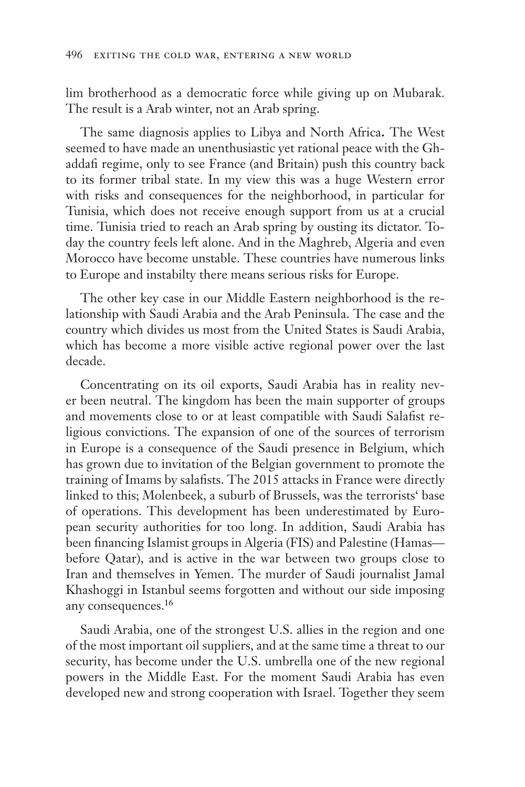lim brotherhood as a democratic force while giving up on Mubarak. The result is a Arab winter, not an Arab spring.

The same diagnosis applies to Libya and North Africa**.** The West seemed to have made an unenthusiastic yet rational peace with the Ghaddafi regime, only to see France (and Britain) push this country back to its former tribal state. In my view this was a huge Western error with risks and consequences for the neighborhood, in particular for Tunisia, which does not receive enough support from us at a crucial time. Tunisia tried to reach an Arab spring by ousting its dictator. Today the country feels left alone. And in the Maghreb, Algeria and even Morocco have become unstable. These countries have numerous links to Europe and instabilty there means serious risks for Europe.

The other key case in our Middle Eastern neighborhood is the relationship with Saudi Arabia and the Arab Peninsula. The case and the country which divides us most from the United States is Saudi Arabia, which has become a more visible active regional power over the last decade.

Concentrating on its oil exports, Saudi Arabia has in reality never been neutral. The kingdom has been the main supporter of groups and movements close to or at least compatible with Saudi Salafist religious convictions. The expansion of one of the sources of terrorism in Europe is a consequence of the Saudi presence in Belgium, which has grown due to invitation of the Belgian government to promote the training of Imams by salafists. The 2015 attacks in France were directly linked to this; Molenbeek, a suburb of Brussels, was the terrorists' base of operations. This development has been underestimated by European security authorities for too long. In addition, Saudi Arabia has been financing Islamist groups in Algeria (FIS) and Palestine (Hamas before Qatar), and is active in the war between two groups close to Iran and themselves in Yemen. The murder of Saudi journalist Jamal Khashoggi in Istanbul seems forgotten and without our side imposing any consequences.<sup>16</sup>

Saudi Arabia, one of the strongest U.S. allies in the region and one of the most important oil suppliers, and at the same time a threat to our security*,* has become under the U.S. umbrella one of the new regional powers in the Middle East. For the moment Saudi Arabia has even developed new and strong cooperation with Israel. Together they seem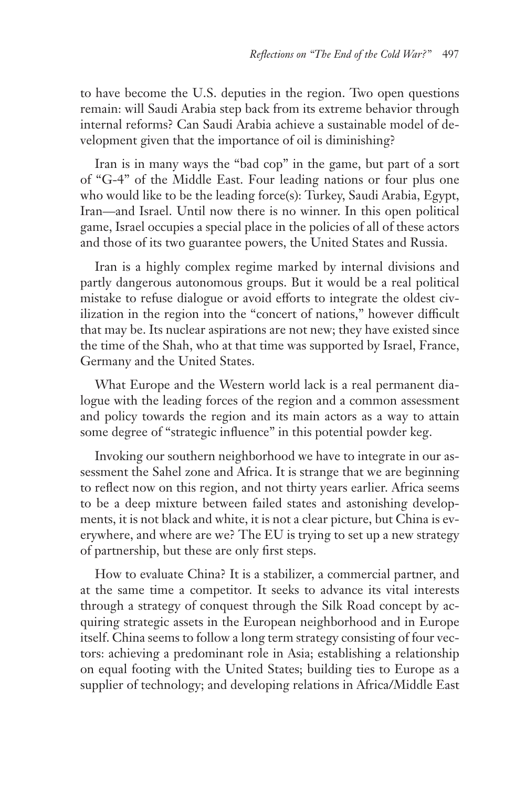to have become the U.S. deputies in the region. Two open questions remain: will Saudi Arabia step back from its extreme behavior through internal reforms? Can Saudi Arabia achieve a sustainable model of development given that the importance of oil is diminishing?

Iran is in many ways the "bad cop" in the game, but part of a sort of "G-4" of the Middle East. Four leading nations or four plus one who would like to be the leading force(s): Turkey, Saudi Arabia, Egypt, Iran—and Israel. Until now there is no winner. In this open political game, Israel occupies a special place in the policies of all of these actors and those of its two guarantee powers, the United States and Russia.

Iran is a highly complex regime marked by internal divisions and partly dangerous autonomous groups. But it would be a real political mistake to refuse dialogue or avoid efforts to integrate the oldest civilization in the region into the "concert of nations," however difficult that may be. Its nuclear aspirations are not new; they have existed since the time of the Shah, who at that time was supported by Israel, France, Germany and the United States.

What Europe and the Western world lack is a real permanent dialogue with the leading forces of the region and a common assessment and policy towards the region and its main actors as a way to attain some degree of "strategic influence" in this potential powder keg.

Invoking our southern neighborhood we have to integrate in our assessment the Sahel zone and Africa. It is strange that we are beginning to reflect now on this region, and not thirty years earlier. Africa seems to be a deep mixture between failed states and astonishing developments, it is not black and white, it is not a clear picture, but China is everywhere, and where are we? The EU is trying to set up a new strategy of partnership, but these are only first steps.

How to evaluate China? It is a stabilizer, a commercial partner, and at the same time a competitor. It seeks to advance its vital interests through a strategy of conquest through the Silk Road concept by acquiring strategic assets in the European neighborhood and in Europe itself. China seems to follow a long term strategy consisting of four vectors: achieving a predominant role in Asia; establishing a relationship on equal footing with the United States; building ties to Europe as a supplier of technology; and developing relations in Africa/Middle East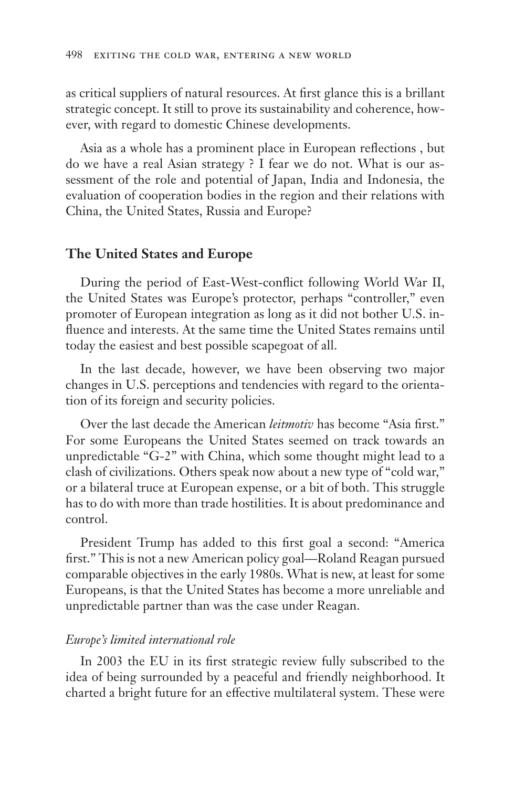as critical suppliers of natural resources. At first glance this is a brillant strategic concept. It still to prove its sustainability and coherence, however, with regard to domestic Chinese developments.

Asia as a whole has a prominent place in European reflections , but do we have a real Asian strategy ? I fear we do not. What is our assessment of the role and potential of Japan, India and Indonesia, the evaluation of cooperation bodies in the region and their relations with China, the United States, Russia and Europe?

#### **The United States and Europe**

During the period of East-West-conflict following World War II, the United States was Europe's protector, perhaps "controller," even promoter of European integration as long as it did not bother U.S. influence and interests. At the same time the United States remains until today the easiest and best possible scapegoat of all.

In the last decade, however, we have been observing two major changes in U.S. perceptions and tendencies with regard to the orientation of its foreign and security policies.

Over the last decade the American *leitmotiv* has become "Asia first." For some Europeans the United States seemed on track towards an unpredictable "G-2" with China, which some thought might lead to a clash of civilizations. Others speak now about a new type of "cold war," or a bilateral truce at European expense, or a bit of both. This struggle has to do with more than trade hostilities. It is about predominance and control.

President Trump has added to this first goal a second: "America first." This is not a new American policy goal—Roland Reagan pursued comparable objectives in the early 1980s. What is new, at least for some Europeans, is that the United States has become a more unreliable and unpredictable partner than was the case under Reagan.

#### *Europe's limited international role*

In 2003 the EU in its first strategic review fully subscribed to the idea of being surrounded by a peaceful and friendly neighborhood. It charted a bright future for an effective multilateral system. These were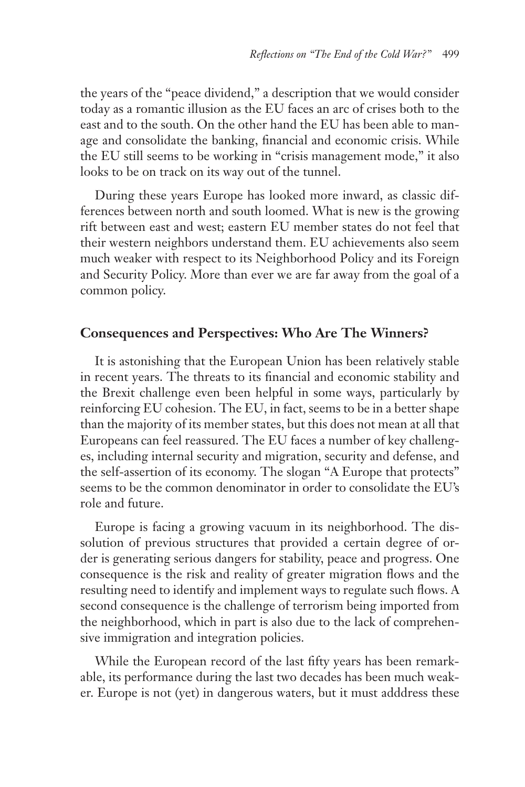the years of the "peace dividend," a description that we would consider today as a romantic illusion as the EU faces an arc of crises both to the east and to the south. On the other hand the EU has been able to manage and consolidate the banking, financial and economic crisis. While the EU still seems to be working in "crisis management mode," it also looks to be on track on its way out of the tunnel.

During these years Europe has looked more inward, as classic differences between north and south loomed. What is new is the growing rift between east and west; eastern EU member states do not feel that their western neighbors understand them. EU achievements also seem much weaker with respect to its Neighborhood Policy and its Foreign and Security Policy. More than ever we are far away from the goal of a common policy.

## **Consequences and Perspectives: Who Are The Winners?**

It is astonishing that the European Union has been relatively stable in recent years. The threats to its financial and economic stability and the Brexit challenge even been helpful in some ways, particularly by reinforcing EU cohesion. The EU, in fact, seems to be in a better shape than the majority of its member states, but this does not mean at all that Europeans can feel reassured. The EU faces a number of key challenges, including internal security and migration, security and defense, and the self-assertion of its economy. The slogan "A Europe that protects" seems to be the common denominator in order to consolidate the EU's role and future.

Europe is facing a growing vacuum in its neighborhood. The dissolution of previous structures that provided a certain degree of order is generating serious dangers for stability, peace and progress. One consequence is the risk and reality of greater migration flows and the resulting need to identify and implement ways to regulate such flows. A second consequence is the challenge of terrorism being imported from the neighborhood, which in part is also due to the lack of comprehensive immigration and integration policies.

While the European record of the last fifty years has been remarkable, its performance during the last two decades has been much weaker. Europe is not (yet) in dangerous waters, but it must adddress these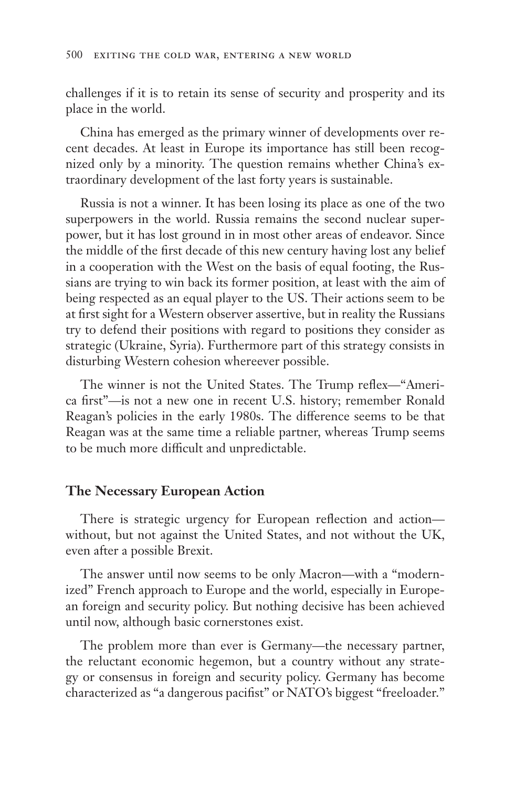challenges if it is to retain its sense of security and prosperity and its place in the world.

China has emerged as the primary winner of developments over recent decades. At least in Europe its importance has still been recognized only by a minority. The question remains whether China's extraordinary development of the last forty years is sustainable.

Russia is not a winner. It has been losing its place as one of the two superpowers in the world. Russia remains the second nuclear superpower, but it has lost ground in in most other areas of endeavor. Since the middle of the first decade of this new century having lost any belief in a cooperation with the West on the basis of equal footing, the Russians are trying to win back its former position, at least with the aim of being respected as an equal player to the US. Their actions seem to be at first sight for a Western observer assertive, but in reality the Russians try to defend their positions with regard to positions they consider as strategic (Ukraine, Syria). Furthermore part of this strategy consists in disturbing Western cohesion whereever possible.

The winner is not the United States. The Trump reflex—"America first"—is not a new one in recent U.S. history; remember Ronald Reagan's policies in the early 1980s. The difference seems to be that Reagan was at the same time a reliable partner, whereas Trump seems to be much more difficult and unpredictable.

#### **The Necessary European Action**

There is strategic urgency for European reflection and action without, but not against the United States, and not without the UK, even after a possible Brexit.

The answer until now seems to be only Macron—with a "modernized" French approach to Europe and the world, especially in European foreign and security policy. But nothing decisive has been achieved until now, although basic cornerstones exist.

The problem more than ever is Germany—the necessary partner, the reluctant economic hegemon, but a country without any strategy or consensus in foreign and security policy. Germany has become characterized as "a dangerous pacifist" or NATO's biggest "freeloader."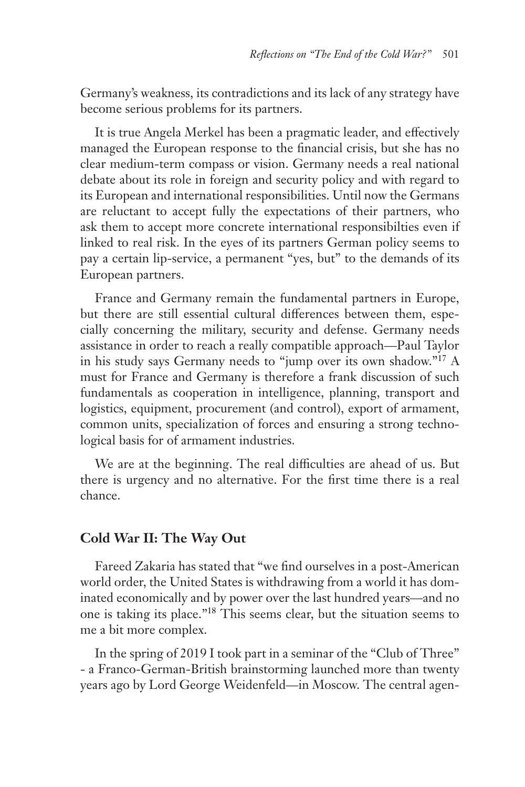Germany's weakness, its contradictions and its lack of any strategy have become serious problems for its partners.

It is true Angela Merkel has been a pragmatic leader, and effectively managed the European response to the financial crisis, but she has no clear medium-term compass or vision. Germany needs a real national debate about its role in foreign and security policy and with regard to its European and international responsibilities. Until now the Germans are reluctant to accept fully the expectations of their partners, who ask them to accept more concrete international responsibilties even if linked to real risk. In the eyes of its partners German policy seems to pay a certain lip-service, a permanent "yes, but" to the demands of its European partners.

France and Germany remain the fundamental partners in Europe, but there are still essential cultural differences between them, especially concerning the military, security and defense. Germany needs assistance in order to reach a really compatible approach—Paul Taylor in his study says Germany needs to "jump over its own shadow."17 A must for France and Germany is therefore a frank discussion of such fundamentals as cooperation in intelligence, planning, transport and logistics, equipment, procurement (and control), export of armament, common units, specialization of forces and ensuring a strong technological basis for of armament industries.

We are at the beginning. The real difficulties are ahead of us. But there is urgency and no alternative. For the first time there is a real chance.

### **Cold War II: The Way Out**

Fareed Zakaria has stated that "we find ourselves in a post-American world order, the United States is withdrawing from a world it has dominated economically and by power over the last hundred years—and no one is taking its place."18 This seems clear, but the situation seems to me a bit more complex.

In the spring of 2019 I took part in a seminar of the "Club of Three" - a Franco-German-British brainstorming launched more than twenty years ago by Lord George Weidenfeld—in Moscow. The central agen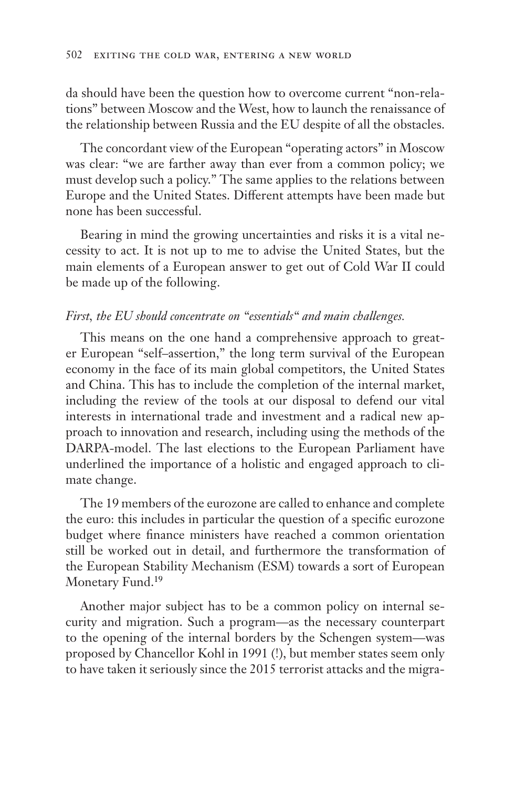da should have been the question how to overcome current "non-relations" between Moscow and the West, how to launch the renaissance of the relationship between Russia and the EU despite of all the obstacles.

The concordant view of the European "operating actors" in Moscow was clear: "we are farther away than ever from a common policy; we must develop such a policy." The same applies to the relations between Europe and the United States. Different attempts have been made but none has been successful.

Bearing in mind the growing uncertainties and risks it is a vital necessity to act. It is not up to me to advise the United States, but the main elements of a European answer to get out of Cold War II could be made up of the following.

### *First, the EU should concentrate on "essentials" and main challenges.*

This means on the one hand a comprehensive approach to greater European "self–assertion," the long term survival of the European economy in the face of its main global competitors, the United States and China. This has to include the completion of the internal market, including the review of the tools at our disposal to defend our vital interests in international trade and investment and a radical new approach to innovation and research, including using the methods of the DARPA-model. The last elections to the European Parliament have underlined the importance of a holistic and engaged approach to climate change.

The 19 members of the eurozone are called to enhance and complete the euro: this includes in particular the question of a specific eurozone budget where finance ministers have reached a common orientation still be worked out in detail, and furthermore the transformation of the European Stability Mechanism (ESM) towards a sort of European Monetary Fund.<sup>19</sup>

Another major subject has to be a common policy on internal security and migration. Such a program—as the necessary counterpart to the opening of the internal borders by the Schengen system—was proposed by Chancellor Kohl in 1991 (!), but member states seem only to have taken it seriously since the 2015 terrorist attacks and the migra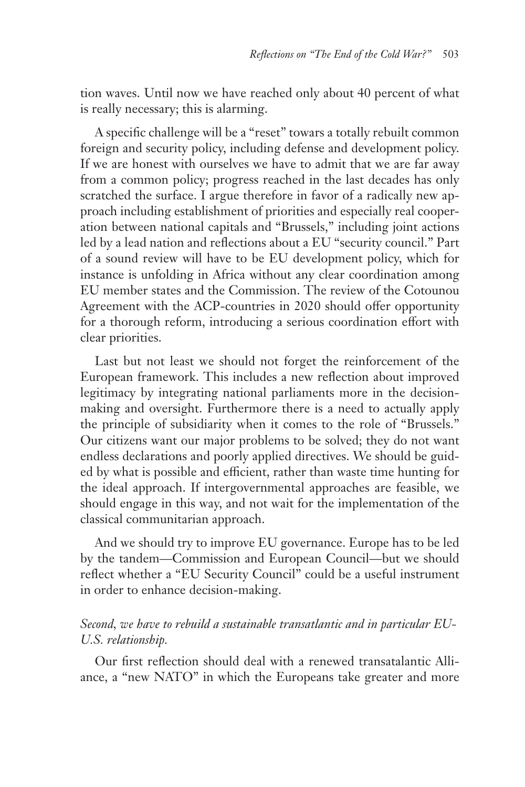tion waves. Until now we have reached only about 40 percent of what is really necessary; this is alarming.

A specific challenge will be a "reset" towars a totally rebuilt common foreign and security policy, including defense and development policy. If we are honest with ourselves we have to admit that we are far away from a common policy; progress reached in the last decades has only scratched the surface. I argue therefore in favor of a radically new approach including establishment of priorities and especially real cooperation between national capitals and "Brussels," including joint actions led by a lead nation and reflections about a EU "security council." Part of a sound review will have to be EU development policy, which for instance is unfolding in Africa without any clear coordination among EU member states and the Commission. The review of the Cotounou Agreement with the ACP-countries in 2020 should offer opportunity for a thorough reform, introducing a serious coordination effort with clear priorities.

Last but not least we should not forget the reinforcement of the European framework. This includes a new reflection about improved legitimacy by integrating national parliaments more in the decisionmaking and oversight. Furthermore there is a need to actually apply the principle of subsidiarity when it comes to the role of "Brussels." Our citizens want our major problems to be solved; they do not want endless declarations and poorly applied directives. We should be guided by what is possible and efficient, rather than waste time hunting for the ideal approach. If intergovernmental approaches are feasible, we should engage in this way, and not wait for the implementation of the classical communitarian approach.

And we should try to improve EU governance. Europe has to be led by the tandem—Commission and European Council—but we should reflect whether a "EU Security Council" could be a useful instrument in order to enhance decision-making.

## *Second, we have to rebuild a sustainable transatlantic and in particular EU-U.S. relationship.*

Our first reflection should deal with a renewed transatalantic Alliance, a "new NATO" in which the Europeans take greater and more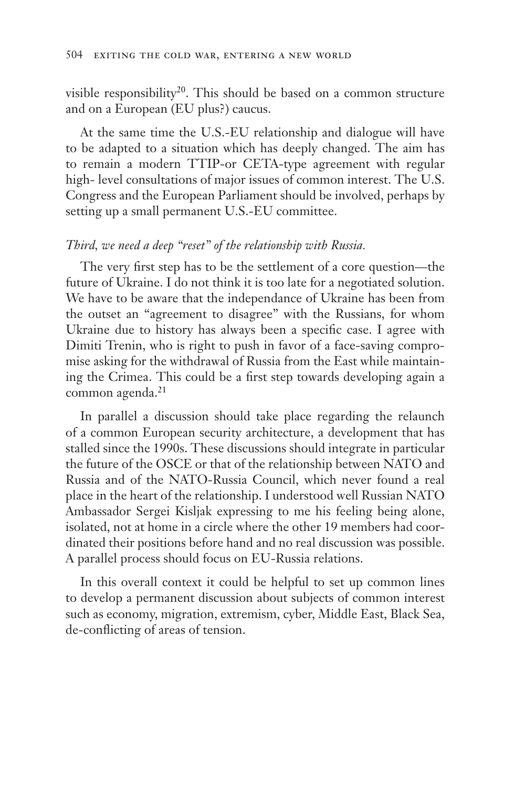visible responsibility<sup>20</sup>. This should be based on a common structure and on a European (EU plus?) caucus.

At the same time the U.S.-EU relationship and dialogue will have to be adapted to a situation which has deeply changed. The aim has to remain a modern TTIP-or CETA-type agreement with regular high- level consultations of major issues of common interest. The U.S. Congress and the European Parliament should be involved, perhaps by setting up a small permanent U.S.-EU committee.

## *Third, we need a deep "reset" of the relationship with Russia.*

The very first step has to be the settlement of a core question—the future of Ukraine. I do not think it is too late for a negotiated solution. We have to be aware that the independance of Ukraine has been from the outset an "agreement to disagree" with the Russians, for whom Ukraine due to history has always been a specific case. I agree with Dimiti Trenin, who is right to push in favor of a face-saving compromise asking for the withdrawal of Russia from the East while maintaining the Crimea. This could be a first step towards developing again a common agenda.<sup>21</sup>

In parallel a discussion should take place regarding the relaunch of a common European security architecture, a development that has stalled since the 1990s. These discussions should integrate in particular the future of the OSCE or that of the relationship between NATO and Russia and of the NATO-Russia Council, which never found a real place in the heart of the relationship. I understood well Russian NATO Ambassador Sergei Kisljak expressing to me his feeling being alone, isolated, not at home in a circle where the other 19 members had coordinated their positions before hand and no real discussion was possible. A parallel process should focus on EU-Russia relations.

In this overall context it could be helpful to set up common lines to develop a permanent discussion about subjects of common interest such as economy, migration, extremism, cyber, Middle East, Black Sea, de-conflicting of areas of tension.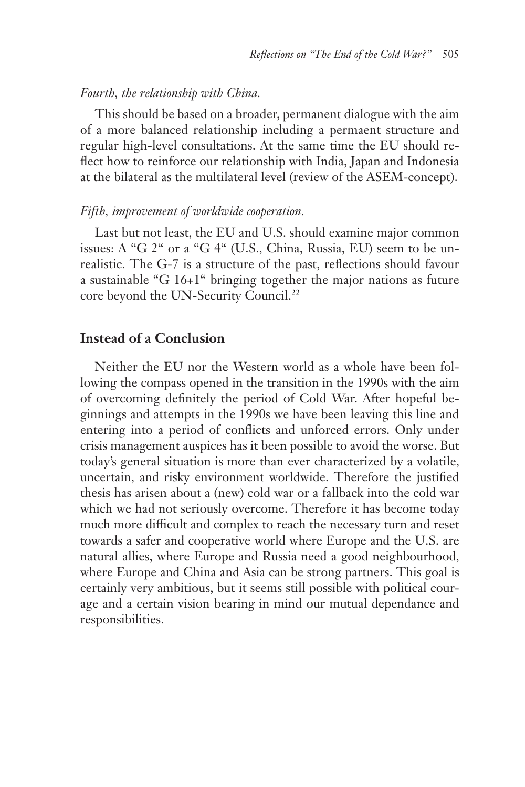#### *Fourth, the relationship with China.*

This should be based on a broader, permanent dialogue with the aim of a more balanced relationship including a permaent structure and regular high-level consultations. At the same time the EU should reflect how to reinforce our relationship with India, Japan and Indonesia at the bilateral as the multilateral level (review of the ASEM-concept).

#### *Fifth, improvement of worldwide cooperation.*

Last but not least, the EU and U.S. should examine major common issues: A "G 2" or a "G 4" (U.S., China, Russia, EU) seem to be unrealistic. The G-7 is a structure of the past, reflections should favour a sustainable "G 16+1" bringing together the major nations as future core beyond the UN-Security Council.22

### **Instead of a Conclusion**

Neither the EU nor the Western world as a whole have been following the compass opened in the transition in the 1990s with the aim of overcoming definitely the period of Cold War. After hopeful beginnings and attempts in the 1990s we have been leaving this line and entering into a period of conflicts and unforced errors. Only under crisis management auspices has it been possible to avoid the worse. But today's general situation is more than ever characterized by a volatile, uncertain, and risky environment worldwide. Therefore the justified thesis has arisen about a (new) cold war or a fallback into the cold war which we had not seriously overcome. Therefore it has become today much more difficult and complex to reach the necessary turn and reset towards a safer and cooperative world where Europe and the U.S. are natural allies, where Europe and Russia need a good neighbourhood, where Europe and China and Asia can be strong partners. This goal is certainly very ambitious, but it seems still possible with political courage and a certain vision bearing in mind our mutual dependance and responsibilities.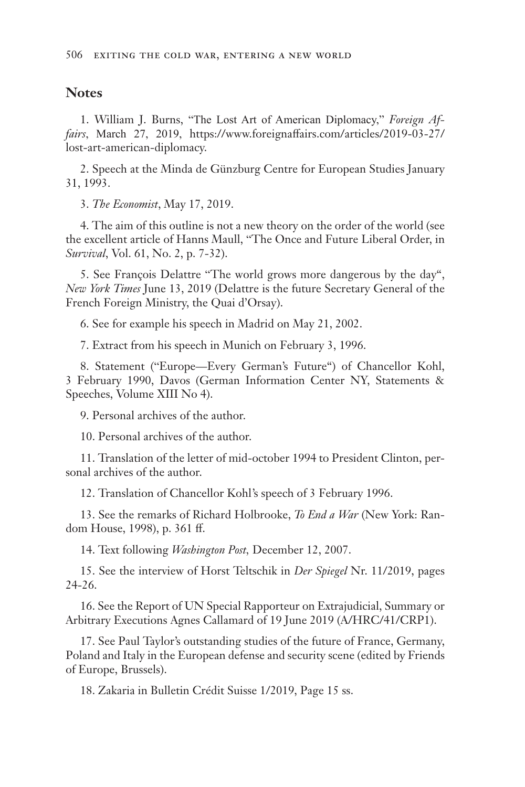### **Notes**

1. William J. Burns, "The Lost Art of American Diplomacy," *Foreign Affairs*, March 27, 2019, https://www.foreignaffairs.com/articles/2019-03-27/ lost-art-american-diplomacy.

2. Speech at the Minda de Günzburg Centre for European Studies January 31, 1993.

3. *The Economist*, May 17, 2019.

4. The aim of this outline is not a new theory on the order of the world (see the excellent article of Hanns Maull, "The Once and Future Liberal Order, in *Survival*, Vol. 61, No. 2, p. 7-32).

5. See François Delattre "The world grows more dangerous by the day", *New York Times* June 13, 2019 (Delattre is the future Secretary General of the French Foreign Ministry, the Quai d'Orsay).

6. See for example his speech in Madrid on May 21, 2002.

7. Extract from his speech in Munich on February 3, 1996.

8. Statement ("Europe—Every German's Future") of Chancellor Kohl, 3 February 1990, Davos (German Information Center NY, Statements & Speeches, Volume XIII No 4).

9. Personal archives of the author.

10. Personal archives of the author.

11. Translation of the letter of mid-october 1994 to President Clinton, personal archives of the author.

12. Translation of Chancellor Kohl's speech of 3 February 1996.

13. See the remarks of Richard Holbrooke, *To End a War* (New York: Random House, 1998), p. 361 ff.

14. Text following *Washington Post,* December 12, 2007.

15. See the interview of Horst Teltschik in *Der Spiegel* Nr. 11/2019, pages 24-26.

16. See the Report of UN Special Rapporteur on Extrajudicial, Summary or Arbitrary Executions Agnes Callamard of 19 June 2019 (A/HRC/41/CRP1).

17. See Paul Taylor's outstanding studies of the future of France, Germany, Poland and Italy in the European defense and security scene (edited by Friends of Europe, Brussels).

18. Zakaria in Bulletin Crédit Suisse 1/2019, Page 15 ss.